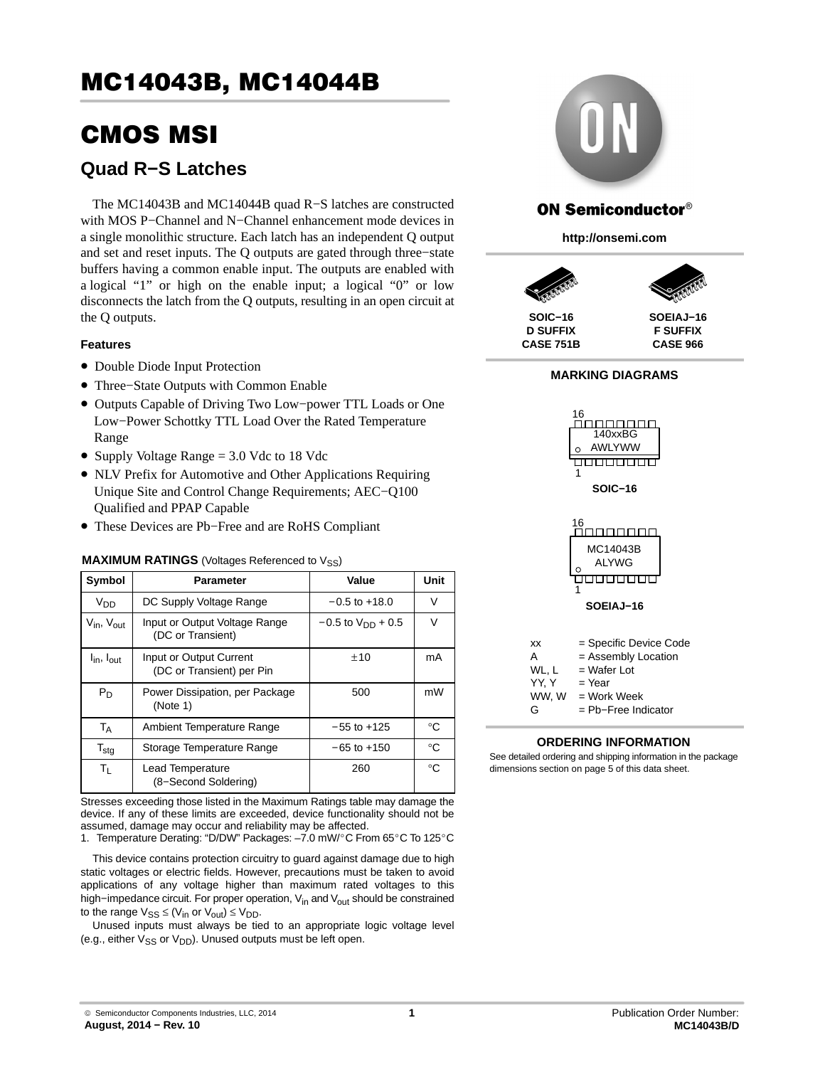# CMOS MSI

## **Quad R−S Latches**

The MC14043B and MC14044B quad R−S latches are constructed with MOS P−Channel and N−Channel enhancement mode devices in a single monolithic structure. Each latch has an independent Q output and set and reset inputs. The Q outputs are gated through three−state buffers having a common enable input. The outputs are enabled with a logical "1" or high on the enable input; a logical "0" or low disconnects the latch from the Q outputs, resulting in an open circuit at the Q outputs.

### **Features**

- Double Diode Input Protection
- Three−State Outputs with Common Enable
- Outputs Capable of Driving Two Low−power TTL Loads or One Low−Power Schottky TTL Load Over the Rated Temperature Range
- Supply Voltage Range = 3.0 Vdc to 18 Vdc
- NLV Prefix for Automotive and Other Applications Requiring Unique Site and Control Change Requirements; AEC−Q100 Qualified and PPAP Capable
- These Devices are Pb−Free and are RoHS Compliant

### **MAXIMUM RATINGS** (Voltages Referenced to V<sub>SS</sub>)

| Symbol                             | Parameter                                            | Value                    | Unit        |
|------------------------------------|------------------------------------------------------|--------------------------|-------------|
| V <sub>DD</sub>                    | DC Supply Voltage Range                              | $-0.5$ to $+18.0$        | V           |
| $V_{\text{in}}$ , $V_{\text{out}}$ | Input or Output Voltage Range<br>(DC or Transient)   | $-0.5$ to $V_{DD}$ + 0.5 | V           |
| $I_{\text{in}}$ , $I_{\text{out}}$ | Input or Output Current<br>(DC or Transient) per Pin | ±10                      | mA          |
| $P_D$                              | Power Dissipation, per Package<br>(Note 1)           | 500                      | mW          |
| T <sub>A</sub>                     | Ambient Temperature Range                            | $-55$ to $+125$          | °C          |
| $\mathsf{T}_{\text{stg}}$          | Storage Temperature Range                            | $-65$ to $+150$          | °C          |
| $T_{L}$                            | Lead Temperature<br>(8-Second Soldering)             | 260                      | $^{\circ}C$ |

Stresses exceeding those listed in the Maximum Ratings table may damage the device. If any of these limits are exceeded, device functionality should not be assumed, damage may occur and reliability may be affected. device. If any of these limits are executed, device randidminity should not be<br>assumed, damage may occur and reliability may be affected.<br>1. Temperature Derating: "D/DW" Packages: –7.0 mW/°C From 65°C To 125°C

This device contains protection circuitry to guard against damage due to high static voltages or electric fields. However, precautions must be taken to avoid applications of any voltage higher than maximum rated voltages to this high–impedance circuit. For proper operation, V<sub>in</sub> and V<sub>out</sub> should be constrained to the range  $V_{SS} \leq (V_{in} \text{ or } V_{out}) \leq V_{DD}$ .

Unused inputs must always be tied to an appropriate logic voltage level (e.g., either  $V_{SS}$  or  $V_{DD}$ ). Unused outputs must be left open.



## **ON Semiconductor®**

**http://onsemi.com**



**D SUFFIX CASE 751B**

**F SUFFIX CASE 966**

#### **MARKING DIAGRAMS**



**ORDERING INFORMATION**

See detailed ordering and shipping information in the package dimensions section on page [5](#page-4-0) of this data sheet.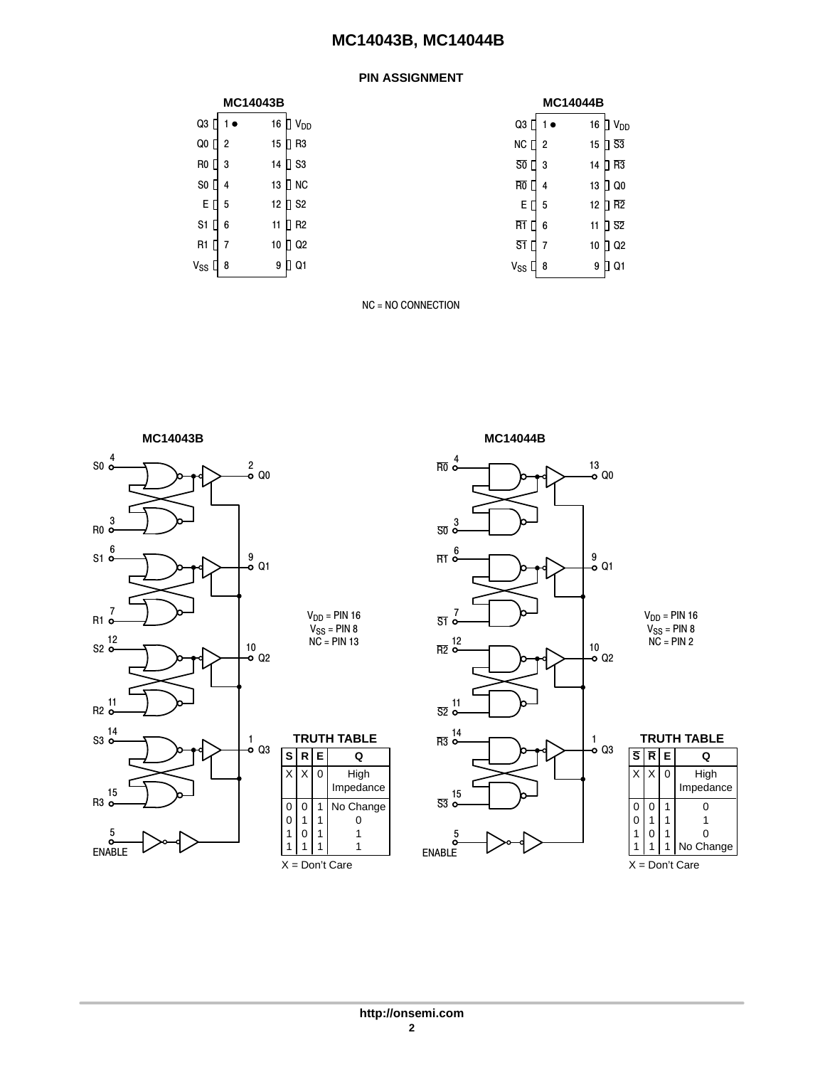### **PIN ASSIGNMENT**

|  | <b>MC14043B</b> |
|--|-----------------|
|  |                 |

| $Q3$ [ | $1 \bullet$    |    | 16 D V <sub>DD</sub>          |
|--------|----------------|----|-------------------------------|
| Q0 [   | $\overline{2}$ | 15 | R <sub>3</sub>                |
| RO I   | 3              | 14 | $\overline{\phantom{a}}$ S3   |
| SO [   | 4              | 13 | <b>NC</b><br>1                |
| Εſ     | 5              | 12 | $\overline{1}$ S <sub>2</sub> |
| S1     | 6              | 11 | R <sub>2</sub>                |
| R1     | 7              | 10 | Q <sub>2</sub>                |
| Vss    | 8              | 9  | 21                            |
|        |                |    |                               |

|                | <b>MC14043B</b> |                      |                     | <b>MC14044B</b> |                              |
|----------------|-----------------|----------------------|---------------------|-----------------|------------------------------|
| $1 \bullet$    | 16 ∏            | V <sub>DD</sub>      | Q3                  | 16<br>1 ●       | $\Box$ $V_{DD}$              |
| 2              | 15              | R <sub>3</sub><br>п  | <b>NC</b>           | $\Pi$ 2<br>15   | $\overline{\phantom{1}1}$ S3 |
| 3              | 14              | $\Pi$ S3             | $\overline{50}$     | $\Box$ 3<br>14  | $\overline{\phantom{a}}$ R3  |
| 4              | 13              | n.<br><b>NC</b>      | R <sub>0</sub>      | 13<br>4         | ∐ Q0                         |
| 5              | 12              | n.<br>S <sub>2</sub> | ΕO                  | 12<br>5         | $\overline{a}$ R2            |
| 6              | 11              | R <sub>2</sub><br>п  | R <sub>1</sub>      | 6<br>11         | ] S2                         |
| $\overline{7}$ | 10              | Q <sub>2</sub><br>П  | S <sub>1</sub><br>П | 10<br>7         | T Q2                         |
| 8              |                 | 9 D Q1               | $V_{SS}$            | 9<br>18         | <b>∏ Q1</b>                  |
|                |                 |                      |                     |                 |                              |

NC = NO CONNECTION





X = Don't Care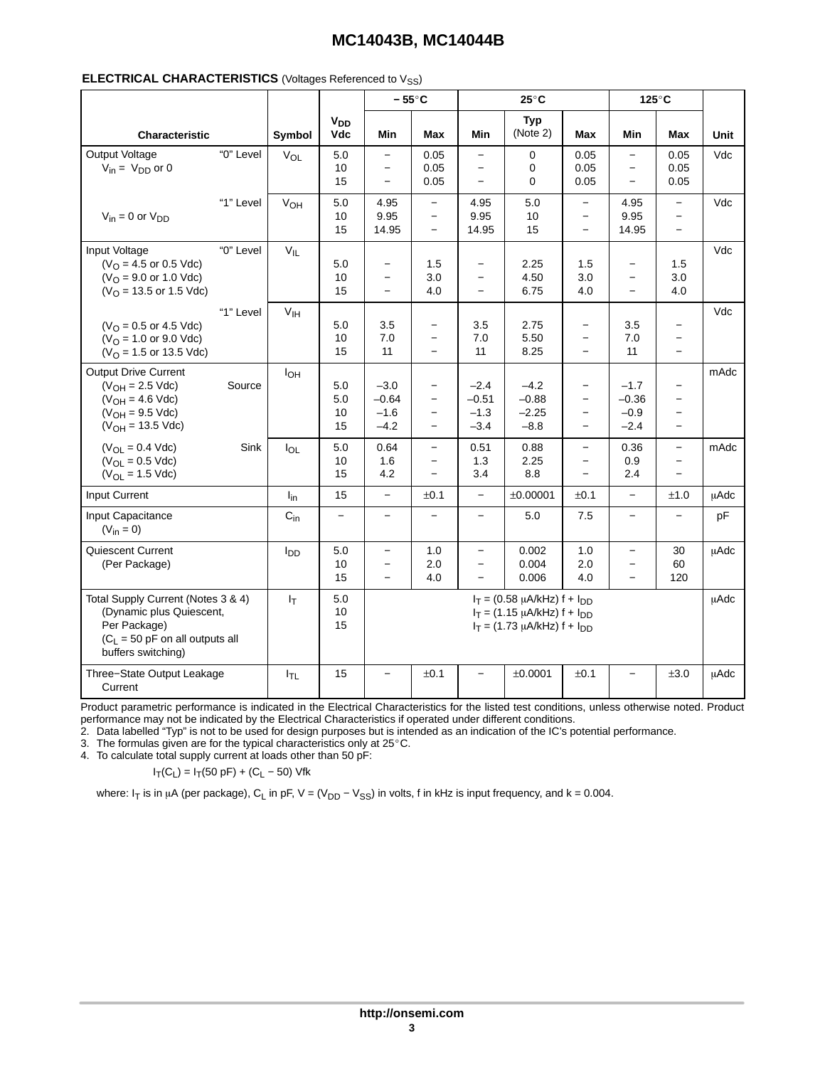| <b>ELECTRICAL CHARACTERISTICS</b> (Voltages Referenced to V <sub>SS</sub> ) |  |  |  |  |
|-----------------------------------------------------------------------------|--|--|--|--|
|-----------------------------------------------------------------------------|--|--|--|--|

|                                                                                                                                           |           |                 |                               |                                                                           | $-55^{\circ}$ C                                           |                                                                    | $25^{\circ}$ C                                                                                                    |                                                                           |                                                                                  | 125°C                                                                                                        |             |
|-------------------------------------------------------------------------------------------------------------------------------------------|-----------|-----------------|-------------------------------|---------------------------------------------------------------------------|-----------------------------------------------------------|--------------------------------------------------------------------|-------------------------------------------------------------------------------------------------------------------|---------------------------------------------------------------------------|----------------------------------------------------------------------------------|--------------------------------------------------------------------------------------------------------------|-------------|
| Characteristic                                                                                                                            |           | Symbol          | V <sub>DD</sub><br><b>Vdc</b> | Min                                                                       | Max                                                       | Min                                                                | <b>Typ</b><br>(Note 2)                                                                                            | Max                                                                       | Min                                                                              | Max                                                                                                          | <b>Unit</b> |
| Output Voltage<br>$V_{in} = V_{DD}$ or 0                                                                                                  | "0" Level | $V_{OL}$        | 5.0<br>10<br>15               | $\overline{\phantom{a}}$<br>$\overline{\phantom{a}}$                      | 0.05<br>0.05<br>0.05                                      | $\qquad \qquad -$<br>$\qquad \qquad -$                             | 0<br>0<br>0                                                                                                       | 0.05<br>0.05<br>0.05                                                      | $\overline{\phantom{0}}$<br>$\overline{\phantom{0}}$<br>$\overline{\phantom{0}}$ | 0.05<br>0.05<br>0.05                                                                                         | Vdc         |
| $V_{in} = 0$ or $V_{DD}$                                                                                                                  | "1" Level | V <sub>OH</sub> | 5.0<br>10<br>15               | 4.95<br>9.95<br>14.95                                                     | $\equiv$<br>$\equiv$<br>$\qquad \qquad -$                 | 4.95<br>9.95<br>14.95                                              | 5.0<br>10<br>15                                                                                                   | $\overline{\phantom{m}}$<br>$\qquad \qquad -$<br>$\overline{\phantom{m}}$ | 4.95<br>9.95<br>14.95                                                            | $\overline{\phantom{a}}$<br>$\overline{\phantom{m}}$<br>$\overline{\phantom{0}}$                             | Vdc         |
| Input Voltage<br>$(VO = 4.5$ or 0.5 Vdc)<br>$(VO = 9.0$ or 1.0 Vdc)<br>$(VO = 13.5$ or 1.5 Vdc)                                           | "0" Level | $V_{IL}$        | 5.0<br>10<br>15               | $\qquad \qquad -$<br>$\qquad \qquad$<br>$\overline{\phantom{0}}$          | 1.5<br>3.0<br>4.0                                         | $\qquad \qquad -$<br>$\qquad \qquad -$<br>$\overline{\phantom{0}}$ | 2.25<br>4.50<br>6.75                                                                                              | 1.5<br>3.0<br>4.0                                                         | $\overline{\phantom{0}}$<br>$\overline{\phantom{0}}$<br>$\overline{a}$           | 1.5<br>3.0<br>4.0                                                                                            | Vdc         |
| $(VO = 0.5$ or 4.5 Vdc)<br>$(VO = 1.0$ or 9.0 Vdc)<br>( $V_{\text{O}}$ = 1.5 or 13.5 Vdc)                                                 | "1" Level | V <sub>IH</sub> | 5.0<br>10<br>15               | 3.5<br>7.0<br>11                                                          | $\qquad \qquad -$<br>$\overline{\phantom{0}}$             | 3.5<br>7.0<br>11                                                   | 2.75<br>5.50<br>8.25                                                                                              | $\overline{\phantom{a}}$<br>$\qquad \qquad -$                             | 3.5<br>7.0<br>11                                                                 | $\qquad \qquad -$<br>$\overline{\phantom{a}}$<br>$\overline{\phantom{0}}$                                    | Vdc         |
| <b>Output Drive Current</b><br>$(V_{OH} = 2.5$ Vdc)<br>$(V_{OH} = 4.6$ Vdc)<br>$(V_{OH} = 9.5$ Vdc)<br>$(V_{OH} = 13.5$ Vdc)              | Source    | $I_{OH}$        | 5.0<br>5.0<br>10<br>15        | $-3.0$<br>$-0.64$<br>$-1.6$<br>$-4.2$                                     | $\qquad \qquad -$<br>$\overline{\phantom{0}}$<br>$\equiv$ | $-2.4$<br>$-0.51$<br>$-1.3$<br>$-3.4$                              | $-4.2$<br>$-0.88$<br>$-2.25$<br>$-8.8$                                                                            | $\qquad \qquad -$<br>$\equiv$<br>$\overline{\phantom{a}}$<br>$\equiv$     | $-1.7$<br>$-0.36$<br>$-0.9$<br>$-2.4$                                            | $\overline{\phantom{0}}$<br>$\overline{\phantom{0}}$<br>$\overline{\phantom{m}}$<br>$\overline{\phantom{m}}$ | mAdc        |
| $(V_{OL} = 0.4$ Vdc)<br>$(V_{OL} = 0.5$ Vdc)<br>$(V_{OL} = 1.5$ Vdc)                                                                      | Sink      | $I_{OL}$        | 5.0<br>10<br>15               | 0.64<br>1.6<br>4.2                                                        | $\overline{\phantom{0}}$<br>$\overline{\phantom{0}}$      | 0.51<br>1.3<br>3.4                                                 | 0.88<br>2.25<br>8.8                                                                                               | $\overline{\phantom{a}}$                                                  | 0.36<br>0.9<br>2.4                                                               | $\overline{\phantom{a}}$<br>$\qquad \qquad -$                                                                | mAdc        |
| Input Current                                                                                                                             |           | $I_{in}$        | 15                            | $\overline{\phantom{m}}$                                                  | ±0.1                                                      | $\overline{\phantom{m}}$                                           | ±0.00001                                                                                                          | ±0.1                                                                      | $\overline{\phantom{0}}$                                                         | ±1.0                                                                                                         | <b>µAdc</b> |
| Input Capacitance<br>$(V_{in} = 0)$                                                                                                       |           | $C_{in}$        | $\qquad \qquad -$             | $\overline{\phantom{a}}$                                                  | $\overline{\phantom{0}}$                                  | $\overline{\phantom{a}}$                                           | 5.0                                                                                                               | 7.5                                                                       | $\overline{\phantom{0}}$                                                         | $\overline{\phantom{0}}$                                                                                     | pF          |
| Quiescent Current<br>(Per Package)                                                                                                        |           | l <sub>DD</sub> | 5.0<br>10<br>15               | $\qquad \qquad -$<br>$\overline{\phantom{0}}$<br>$\overline{\phantom{a}}$ | 1.0<br>2.0<br>4.0                                         | $\qquad \qquad -$<br>$\qquad \qquad -$<br>$\qquad \qquad -$        | 0.002<br>0.004<br>0.006                                                                                           | 1.0<br>2.0<br>4.0                                                         | $\overline{\phantom{0}}$<br>$\overline{\phantom{0}}$<br>$\overline{\phantom{a}}$ | 30<br>60<br>120                                                                                              | μAdc        |
| Total Supply Current (Notes 3 & 4)<br>(Dynamic plus Quiescent,<br>Per Package)<br>$(C_1 = 50$ pF on all outputs all<br>buffers switching) |           | $I_T$           | 5.0<br>10<br>15               |                                                                           |                                                           |                                                                    | $I_T = (0.58 \mu A/kHz) f + I_{DD}$<br>$I_T = (1.15 \mu A/kHz) f + I_{DD}$<br>$I_T = (1.73 \mu A/kHz) f + I_{DD}$ |                                                                           |                                                                                  |                                                                                                              | μAdc        |
| Three-State Output Leakage<br>Current                                                                                                     |           | $I_{TL}$        | 15                            |                                                                           | ±0.1                                                      |                                                                    | ±0.0001                                                                                                           | ±0.1                                                                      |                                                                                  | ±3.0                                                                                                         | <b>µAdc</b> |

Product parametric performance is indicated in the Electrical Characteristics for the listed test conditions, unless otherwise noted. Product performance may not be indicated by the Electrical Characteristics if operated under different conditions.

2. Data labelled "Typ" is not to be used for design purposes but is intended as an indication of the IC's potential performance. 3. The formulas given are for the typical characteristics only at 25-C.

4. To calculate total supply current at loads other than 50 pF:

 $I_T(C_L) = I_T(50 \text{ pF}) + (C_L - 50) \text{ Vfk}$ 

where: I<sub>T</sub> is in µA (per package), C<sub>L</sub> in pF, V = (V<sub>DD</sub> – V<sub>SS</sub>) in volts, f in kHz is input frequency, and k = 0.004.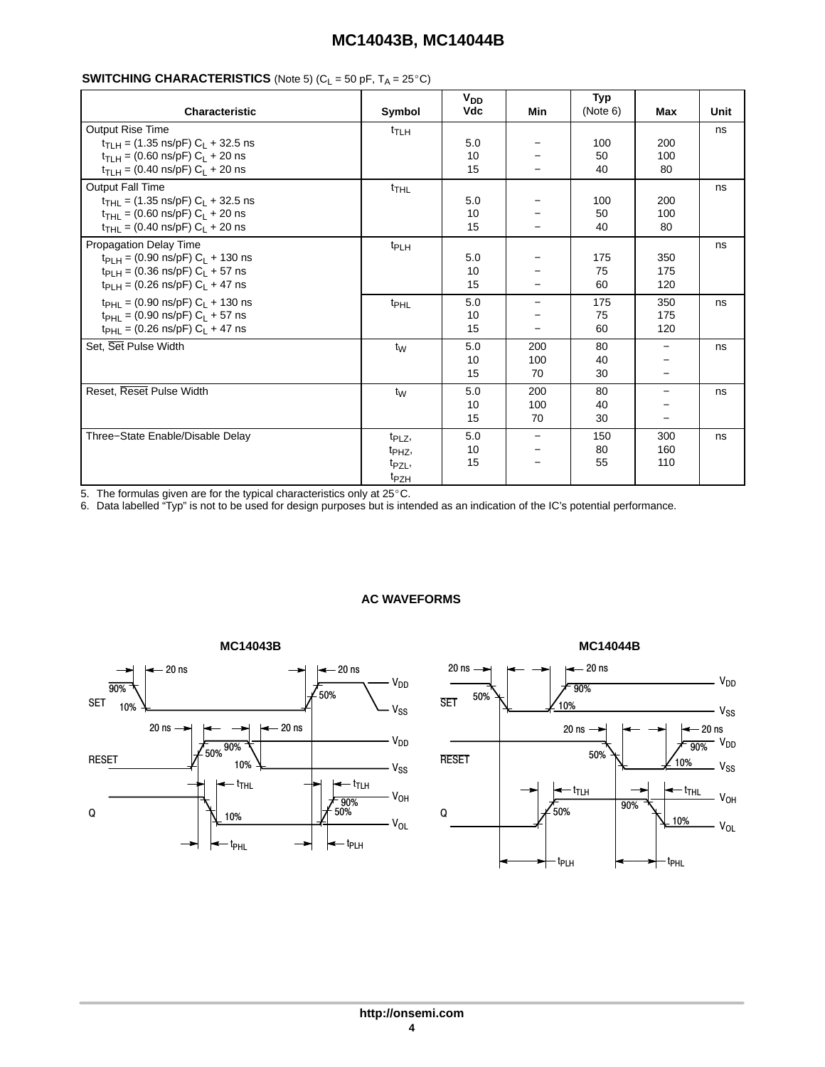#### ÎÎÎÎÎÎÎÎÎÎÎÎÎÎÎÎÎÎÎÎÎÎÎÎÎÎÎÎÎÎÎÎÎ C)

| <b>Characteristic</b>                                                | Symbol             | V <sub>DD</sub><br><b>Vdc</b> | Min                      | <b>Typ</b><br>(Note 6) | Max                      | Unit |
|----------------------------------------------------------------------|--------------------|-------------------------------|--------------------------|------------------------|--------------------------|------|
| Output Rise Time                                                     | $t$ TLH            |                               |                          |                        |                          | ns   |
| $t_{\text{TLH}}$ = (1.35 ns/pF) C <sub>L</sub> + 32.5 ns             |                    | 5.0                           | $\overline{\phantom{m}}$ | 100                    | 200                      |      |
| $t_{\text{TLH}} = (0.60 \text{ ns/pF}) C_{\text{L}} + 20 \text{ ns}$ |                    | 10                            |                          | 50                     | 100                      |      |
| $t_{\text{TLH}} = (0.40 \text{ ns/pF}) C_{\text{L}} + 20 \text{ ns}$ |                    | 15                            | $\overline{\phantom{m}}$ | 40                     | 80                       |      |
| Output Fall Time                                                     | $t$ <sub>THL</sub> |                               |                          |                        |                          | ns   |
| $t_{\text{THL}}$ = (1.35 ns/pF) C <sub>L</sub> + 32.5 ns             |                    | 5.0                           | $\qquad \qquad -$        | 100                    | 200                      |      |
| $t_{\text{THI}} = (0.60 \text{ ns/pF}) C_1 + 20 \text{ ns}$          |                    | 10                            |                          | 50                     | 100                      |      |
| $t_{THL}$ = (0.40 ns/pF) $C_L$ + 20 ns                               |                    | 15                            | $\overline{\phantom{m}}$ | 40                     | 80                       |      |
| <b>Propagation Delay Time</b>                                        | t <sub>PLH</sub>   |                               |                          |                        |                          | ns   |
| $t_{PLH} = (0.90 \text{ ns/pF}) C_L + 130 \text{ ns}$                |                    | 5.0                           | $\overline{\phantom{m}}$ | 175                    | 350                      |      |
| $t_{PLH} = (0.36 \text{ ns/pF}) C_L + 57 \text{ ns}$                 |                    | 10                            |                          | 75                     | 175                      |      |
| $t_{PLH} = (0.26 \text{ ns/pF}) C_L + 47 \text{ ns}$                 |                    | 15                            | $\overline{\phantom{m}}$ | 60                     | 120                      |      |
| $t_{PHL} = (0.90 \text{ ns/pF}) C_L + 130 \text{ ns}$                | t <sub>PHL</sub>   | 5.0                           | $\overline{\phantom{m}}$ | 175                    | 350                      | ns   |
| $t_{\text{PHL}}$ = (0.90 ns/pF) C <sub>L</sub> + 57 ns               |                    | 10                            | $\overline{\phantom{m}}$ | 75                     | 175                      |      |
| $t_{\text{PHL}} = (0.26 \text{ ns/pF}) C_{\text{L}} + 47 \text{ ns}$ |                    | 15                            |                          | 60                     | 120                      |      |
| Set, Set Pulse Width                                                 | t <sub>W</sub>     | 5.0                           | 200                      | 80                     | $\overline{\phantom{0}}$ | ns   |
|                                                                      |                    | 10                            | 100                      | 40                     |                          |      |
|                                                                      |                    | 15                            | 70                       | 30                     | $-$                      |      |
| Reset, Reset Pulse Width                                             | $t_{\rm W}$        | 5.0                           | 200                      | 80                     | $\overline{\phantom{0}}$ | ns   |
|                                                                      |                    | 10                            | 100                      | 40                     | —                        |      |
|                                                                      |                    | 15                            | 70                       | 30                     | $\overline{\phantom{0}}$ |      |
| Three-State Enable/Disable Delay                                     | t <sub>PLZ</sub> , | 5.0                           | $\overline{\phantom{m}}$ | 150                    | 300                      | ns   |
|                                                                      | t <sub>PHZ</sub> , | 10                            | $\overline{\phantom{m}}$ | 80                     | 160                      |      |
|                                                                      | t <sub>PZL</sub> , | 15                            | $\overline{\phantom{m}}$ | 55                     | 110                      |      |
|                                                                      | t <sub>PZH</sub>   |                               |                          |                        |                          |      |

6. Data labelled "Typ" is not to be used for design purposes but is intended as an indication of the IC's potential performance.



### **AC WAVEFORMS**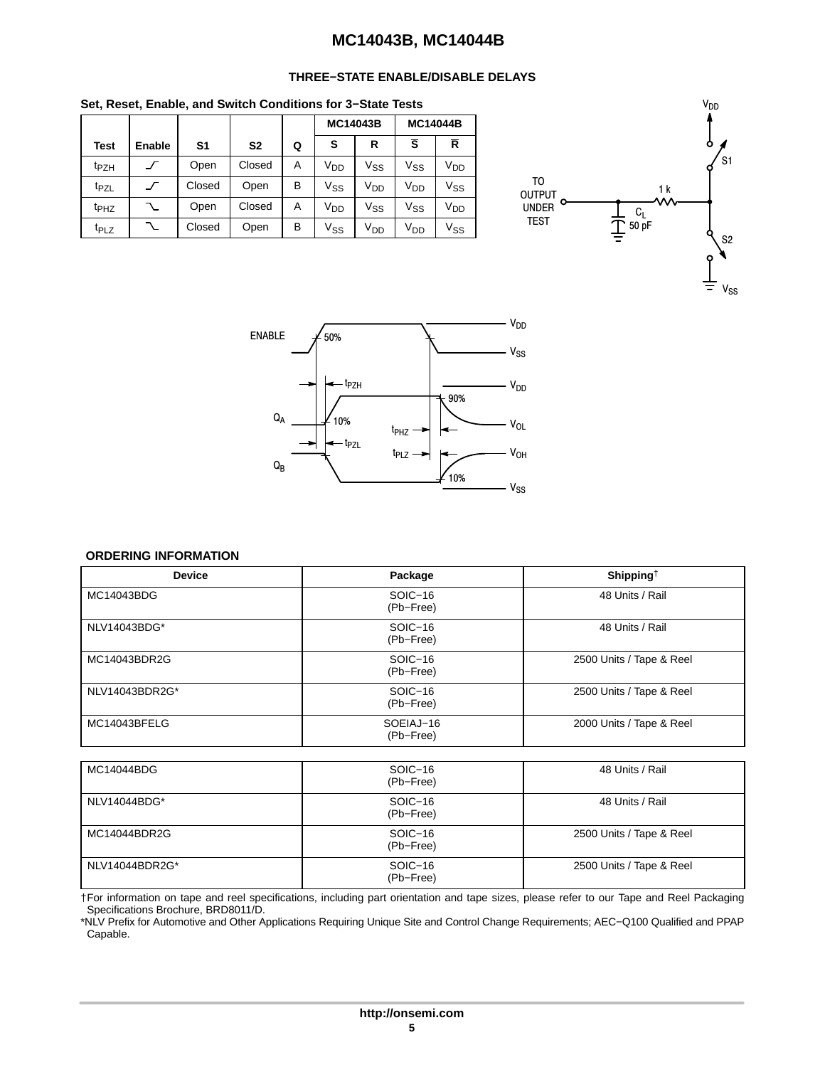### **THREE−STATE ENABLE/DISABLE DELAYS**

<span id="page-4-0"></span>**Set, Reset, Enable, and Switch Conditions for 3−State Tests**

|                  |        |                |                |   | <b>MC14043B</b> |                 | <b>MC14044B</b>       |                            |
|------------------|--------|----------------|----------------|---|-----------------|-----------------|-----------------------|----------------------------|
| <b>Test</b>      | Enable | S <sub>1</sub> | S <sub>2</sub> | Q | s               | R               | Ŝ                     | R                          |
| t <sub>PZH</sub> |        | Open           | Closed         | A | V <sub>DD</sub> | Vss             | $V_{SS}$              | V <sub>DD</sub>            |
| t <sub>PZL</sub> |        | Closed         | Open           | B | $V_{SS}$        | V <sub>DD</sub> | <b>V<sub>DD</sub></b> | $\mathsf{V}_{\mathsf{SS}}$ |
| t <sub>PHZ</sub> |        | Open           | Closed         | A | V <sub>DD</sub> | Vss             | $V_{SS}$              | V <sub>DD</sub>            |
| t <sub>PLZ</sub> |        | Closed         | Open           | B | $V_{SS}$        | V <sub>DD</sub> | V <sub>DD</sub>       | $\mathsf{V}_{\mathsf{SS}}$ |





#### **ORDERING INFORMATION**

| <b>Device</b>  | Package                | Shipping <sup>†</sup>    |
|----------------|------------------------|--------------------------|
| MC14043BDG     | $SOIC-16$<br>(Pb-Free) | 48 Units / Rail          |
| NLV14043BDG*   | $SOIC-16$<br>(Pb-Free) | 48 Units / Rail          |
| MC14043BDR2G   | $SOIC-16$<br>(Pb-Free) | 2500 Units / Tape & Reel |
| NLV14043BDR2G* | SOIC-16<br>(Pb-Free)   | 2500 Units / Tape & Reel |
| MC14043BFELG   | SOEIAJ-16<br>(Pb-Free) | 2000 Units / Tape & Reel |

| MC14044BDG     | SOIC-16<br>(Pb-Free) | 48 Units / Rail          |
|----------------|----------------------|--------------------------|
| NLV14044BDG*   | SOIC-16<br>(Pb-Free) | 48 Units / Rail          |
| MC14044BDR2G   | SOIC-16<br>(Pb-Free) | 2500 Units / Tape & Reel |
| NLV14044BDR2G* | SOIC-16<br>(Pb-Free) | 2500 Units / Tape & Reel |

†For information on tape and reel specifications, including part orientation and tape sizes, please refer to our Tape and Reel Packaging Specifications Brochure, BRD8011/D.

\*NLV Prefix for Automotive and Other Applications Requiring Unique Site and Control Change Requirements; AEC−Q100 Qualified and PPAP Capable.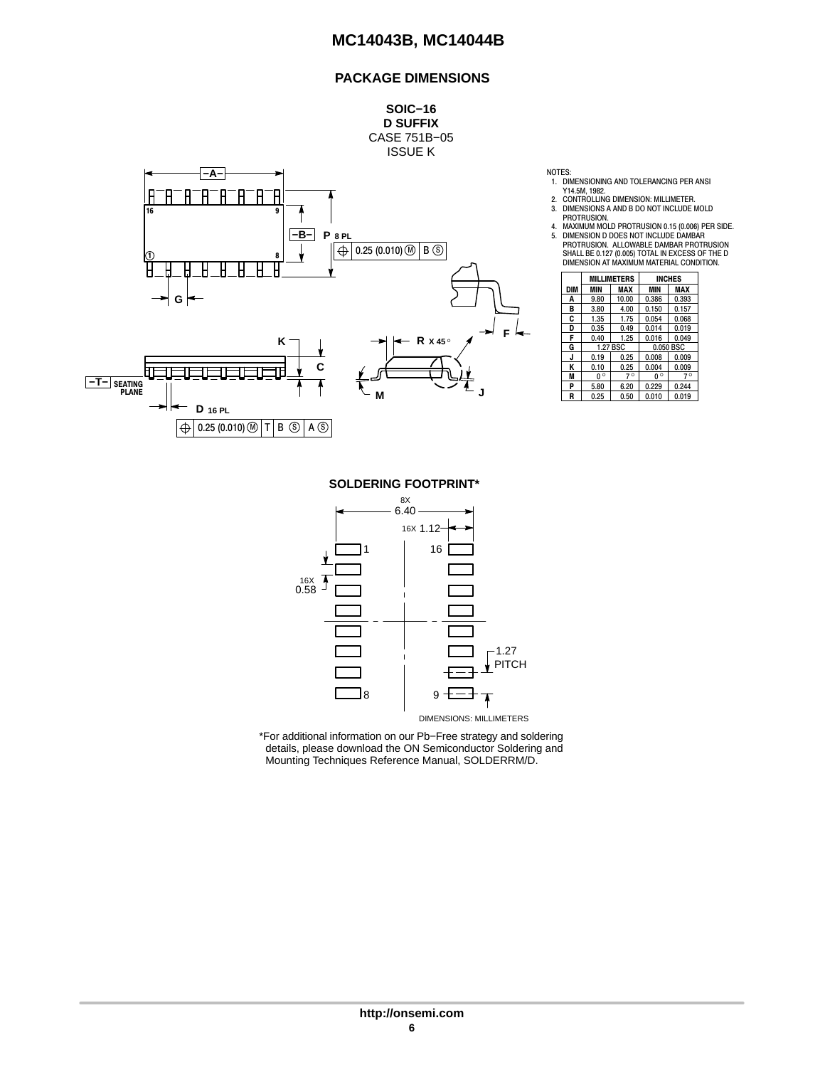### **PACKAGE DIMENSIONS**

**SOIC−16 D SUFFIX** CASE 751B−05 ISSUE K



NOTES:

- 1. DIMENSIONING AND TOLERANCING PER ANSI
- Y14.5M, 1982.<br>2. CONTROLLING DIMENSION: MILLIMETER.<br>3. DIMENSIONS A AND B DO NOT INCLUDE MOLD<br>1. PROTRUSION.
- 
- 

|            |             | <b>MILLIMETERS</b> |             | <b>INCHES</b> |
|------------|-------------|--------------------|-------------|---------------|
| <b>DIM</b> | MIN         | MAX                | <b>MIN</b>  | MAX           |
| A          | 9.80        | 10.00              | 0.386       | 0.393         |
| в          | 3.80        | 4.00               | 0.150       | 0.157         |
| C          | 1.35        | 1.75               | 0.054       | 0.068         |
| D          | 0.35        | 0.49               | 0.014       | 0.019         |
| F          | 0.40        | 1.25               | 0.016       | 0.049         |
| G          |             | 1.27 BSC           | 0.050 BSC   |               |
| J          | 0.19        | 0.25               | 0.008       | 0.009         |
| Κ          | 0.10        | 0.25               | 0.004       | 0.009         |
| M          | $0^{\circ}$ | $7^\circ$          | $0^{\circ}$ | $7^\circ$     |
| P          | 5.80        | 6.20               | 0.229       | 0.244         |
| R          | 0.25        | 0.50               | 0.010       | 0.019         |

**SOLDERING FOOTPRINT\***



\*For additional information on our Pb−Free strategy and soldering details, please download the ON Semiconductor Soldering and Mounting Techniques Reference Manual, SOLDERRM/D.